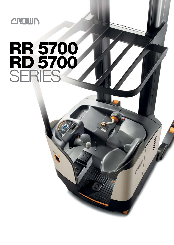

# **RR 5700<br>RD 5700<br>SERES**

 $\frac{7}{2}$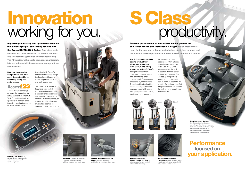Access 1 2 3 Display – communicates clear, concise data for operators and

service engineers.



Desk Pad - provides convenient recessed holding areas for clipboards, pens and small tools.

## Innovation working for you.



Infinitely Adjustable Steering Tiller – provides optimum positioning for operators of any size.

Step into the operator compartment and you'll see a design that blends efficiency, safety and performance.

Access 1 2 3 ® technology provides the foundation for safety and control. The Multi-Task Control Handle allows operators to position loads faster by blending tasks such as travel, lift and reach.

Combined with Crown's Variable Side-Stance design, the handle contributes to superior operator stability and task positioning.

### **Performance**  focused on your application.

The comfortable floorboard features a suspended shock-reducing design with a specially engineered floor mat material for exceptional comfort. Padded surfaces, an armrest and Entry Bar Safety Switch help position the operator for safe performance.

Improved productivity and optimised space are two advantages you can readily achieve with the Crown RR/RD 5700 Series. Operators easily move up and down aisles and on and off the truck due to superior ergonomics and manoeuvrability. The RD version, with double-deep reach pantograph, lets you substantially increase rack storage without new facilities.



# productivity.

Entry Bar Safety Switch –

®Access 27

> deactivates travel and sounds alarm if operator places a foot on entry bar. Crown's exclusive design addresses the concern of an operator travelling with a foot outside of the compartment.



Control Handle and Seat – enhance comfort and control with individual settings.



Multiple Pedal and Foot Positions – provide postural relief including an elevated footwell with independent control pedals.

Superior performance on the S Class means greater lift and travel speeds and increased lift height. It also means more room for the operator, a flip-up seat, choices to sit, lean or stand and the ability to make adjustments for individualised comfort and control.

The S Class substantially boosts productivity with travel speeds up to 13.3 km/h and lifting speeds as fast as 0.78 m/s. Its larger compartment provides more work space and room to move for postural relief. Operators can choose to sit, lean or stand. The adjustable steering tiller, control handle, armrest and seat, combined with ample foot space, enhance comfort, safety and performance in

the most demanding applications. With a focus on performance you can safely use, the S Class gives operators the ability to position themselves for optimum productivity. The S Class gives operators more than a choice to sit, lean or stand. It positions the operator for optimum comfort and performance. Go beyond the ordinary and benefit from real innovation.

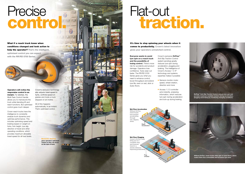Flat-out

### Precise control.



It's time to stop spinning your wheels when it comes to productivity. Crown's latest innovation

gives your operators unmatched control.

Everyone wants to avoid tyre spin on a reach truck

and the possibility of losing control. There's more risk for accidents and product damage. Operators lose confidence. Tyres wear out faster. The RR/RD 5700 Series gives you what you need to enhance control, boost throughput and extend tyre life, even on wet, slick or

- Sensors monitor motor speed, wheel rotation, direction and more
- Access 1 2 3 controller acts instantly, analysing information, which reduces tyre spin during acceleration and lock-up during braking.



dusty floors.

Crown's exclusive OnTrac™ Anti-Slip Traction Control (patent pending) greatly reduces tyre spin during acceleration, plugging and braking. The intelligence of Crown's Access 1 2 3® technology and systems expertise makes it possible:





Crown's exclusive technology also adjusts travel speed in turns, controls speed on grades and holds a truck stopped on an incline.

дашп

**CROWN** 

Vr

All of this happens automatically, in an instant. That's optimised control.

> Electronic steering gives operators optimised control so they can focus on the task at hand.

**STAT** 

 $\mathbf{u}$ 

Operators will notice the responsive control in an instant. For starters, the Multi-Task Control Handle allows you to manoeuvre the truck while blending lift and reach functions. But optimised control goes much deeper.

Crown reach trucks have the intelligence to constantly analyse truck dynamics and optimise performance. This includes optimising speed and braking based on weight on forks, fork height, tyre slip, direction of travel and other operating conditions, which provides maximum allowable travel speed for all load levels.

What if a reach truck knew when conditions changed and took action to help the operator? That's the intelligent, optimised control you can expect with the RR/RD 5700 Series.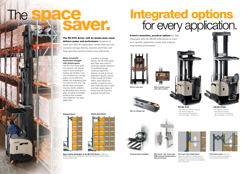### RR/RD 5795S

– RR 1600 and 2000 kg capacity – RD 1350 kg capacity – AC traction and hydraulics  $-$  Max lift height = 10,160 mm



- RR 2000 kg capacity
- RD 1350 kg capacity
- AC traction and hydraulics
- Max lift height = 11,225 mm

RR/RD 5725





Space-saving advantages of the RD 5700 Series include the double-deep reach pantograph which can increase storage density by up to 50 percent.

### Many successful businesses struggle with limited space.

The RD 5700 Series gives you powerful cost-saving ways to avoid building or leasing new facilities. It not only increases your storage space, but its distinctive design and engineering help you improve work flow. The double-deep pantograph improves facility utilisation by eliminating every second aisle, providing more pallet positions than possible with traditional, one-deep pallet racks.



**Tilt Position Assist levels the** forks with a simple command via the multi-task control handle.

The RD 5700 Series, with its double-deep reach, delivers power and performance designed to meet your specific application needs. Now you can increase storage density, improve work flow and help operators perform tasks more efficiently.

> Mast mounted camera with colour monitor

### The space **Saver Saver**

In addition to storage density, the RD 5700 Series also helps save costs by improving operator efficiency. It's achieved through numerous ergonomic features, as well as several application-specific options. These include Tilt Position Assist, which allows the operator to level the forks even when they aren't visible, and Rack Height Select to ensure that the forks stop at exactly the right level.





Overhead guard worklights Work Assist™ tube shown with WMS terminal mounting plates.



### Integrated options for every application.

Crown's innovative, practical options are fully integrated with the RR/RD 5700 Series to meet your specific application needs with superior, long-lasting performance.



One-Touch Rack Height Select allows the operator to simply press a button between rack levels (raising or lowering) to stop the forks automatically

at the next level.



**CROWN** 

**CITERIST** 

clip pad and hook





Bolt-on outrigger tips



Drive-in rack mast